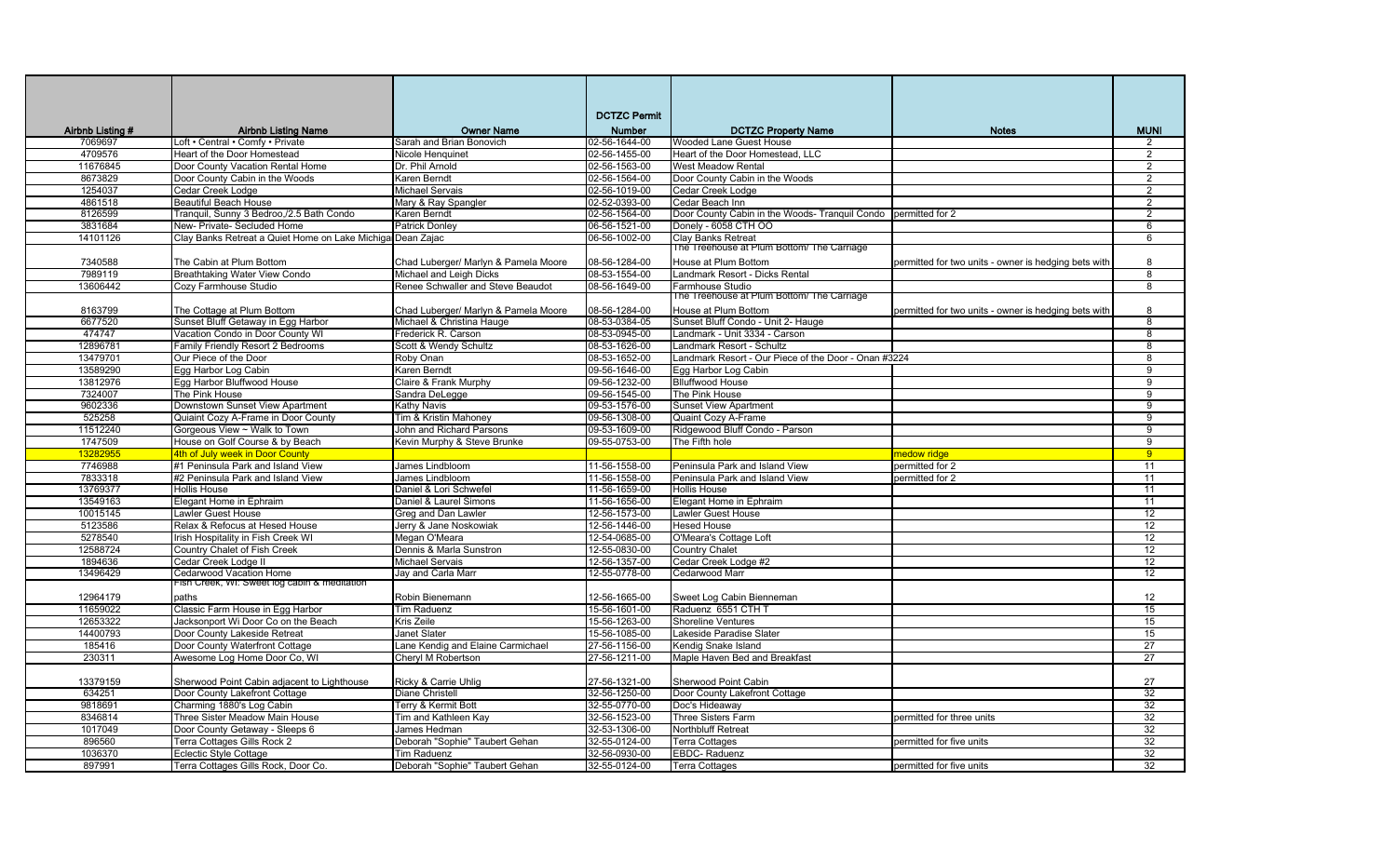|                  |                                                            |                                      | <b>DCTZC Permit</b> |                                                                |                                                      |                         |
|------------------|------------------------------------------------------------|--------------------------------------|---------------------|----------------------------------------------------------------|------------------------------------------------------|-------------------------|
| Airbnb Listing # | <b>Airbnb Listing Name</b>                                 | <b>Owner Name</b>                    | Number              | <b>DCTZC Property Name</b>                                     | <b>Notes</b>                                         | <b>MUNI</b>             |
| 7069697          | Loft • Central • Comfy • Private                           | Sarah and Brian Bonovich             | 02-56-1644-00       | Wooded Lane Guest House                                        |                                                      | 2                       |
| 4709576          | Heart of the Door Homestead                                | Nicole Henquinet                     | 02-56-1455-00       | Heart of the Door Homestead, LLC                               |                                                      | 2                       |
| 11676845         | Door County Vacation Rental Home                           | Dr. Phil Arnold                      | 02-56-1563-00       | <b>West Meadow Rental</b>                                      |                                                      | 2                       |
| 8673829          | Door County Cabin in the Woods                             | Karen Berndt                         | 02-56-1564-00       | Door County Cabin in the Woods                                 |                                                      | 2                       |
| 1254037          | Cedar Creek Lodge                                          | <b>Michael Servais</b>               | 02-56-1019-00       | Cedar Creek Lodge                                              |                                                      | 2                       |
| 4861518          | <b>Beautiful Beach House</b>                               | Mary & Ray Spangler                  | 02-52-0393-00       | Cedar Beach Inn                                                |                                                      | $\overline{2}$          |
| 8126599          | Tranguil, Sunny 3 Bedroo,/2.5 Bath Condo                   | Karen Berndt                         | 02-56-1564-00       | Door County Cabin in the Woods- Tranguil Condo permitted for 2 |                                                      | 2                       |
| 3831684          | New- Private- Secluded Home                                | <b>Patrick Donley</b>                | 06-56-1521-00       | Donely - 6058 CTH OO                                           |                                                      | 6                       |
| 14101126         | Clay Banks Retreat a Quiet Home on Lake Michiga Dean Zajac |                                      | 06-56-1002-00       | Clay Banks Retreat                                             |                                                      | 6                       |
|                  |                                                            |                                      |                     | The Treehouse at Plum Bottom/ The Carriage                     |                                                      |                         |
| 7340588          | The Cabin at Plum Bottom                                   | Chad Luberger/ Marlyn & Pamela Moore | 08-56-1284-00       | House at Plum Bottom                                           | permitted for two units - owner is hedging bets with | 8                       |
| 7989119          | Breathtaking Water View Condo                              | Michael and Leigh Dicks              | 08-53-1554-00       | Landmark Resort - Dicks Rental                                 |                                                      | $\overline{\mathbf{8}}$ |
| 13606442         | Cozy Farmhouse Studio                                      | Renee Schwaller and Steve Beaudot    | 08-56-1649-00       | Farmhouse Studio                                               |                                                      | 8                       |
|                  |                                                            |                                      |                     | The Treenouse at Plum Bottom/ The Carriage                     |                                                      |                         |
| 8163799          | The Cottage at Plum Bottom                                 | Chad Luberger/ Marlyn & Pamela Moore | 08-56-1284-00       | House at Plum Bottom                                           | permitted for two units - owner is hedging bets with | 8                       |
| 6677520          | Sunset Bluff Getaway in Egg Harbor                         | Michael & Christina Hauge            | 08-53-0384-05       | Sunset Bluff Condo - Unit 2- Hauge                             |                                                      | $\overline{8}$          |
| 474747           | Vacation Condo in Door County WI                           | Frederick R. Carson                  | 08-53-0945-00       | Landmark - Unit 3334 - Carson                                  |                                                      | 8                       |
| 12896781         | Family Friendly Resort 2 Bedrooms                          | Scott & Wendy Schultz                | 08-53-1626-00       | Landmark Resort - Schultz                                      |                                                      | $\overline{\mathbf{8}}$ |
| 13479701         | Our Piece of the Door                                      | Roby Onan                            | 08-53-1652-00       | Landmark Resort - Our Piece of the Door - Onan #3224           |                                                      | 8                       |
| 13589290         | Egg Harbor Log Cabin                                       | Karen Berndt                         | 09-56-1646-00       | Egg Harbor Log Cabin                                           |                                                      | 9                       |
| 13812976         | Egg Harbor Bluffwood House                                 | Claire & Frank Murphy                | 09-56-1232-00       | <b>Blluffwood House</b>                                        |                                                      | 9                       |
| 7324007          | The Pink House                                             | Sandra DeLegge                       | 09-56-1545-00       | The Pink House                                                 |                                                      | $\overline{9}$          |
| 9602336          | Downstown Sunset View Apartment                            | Kathy Navis                          | 09-53-1576-00       | <b>Sunset View Apartment</b>                                   |                                                      | 9                       |
| 525258           | Quiaint Cozy A-Frame in Door County                        | Tim & Kristin Mahonev                | 09-56-1308-00       | Quaint Cozy A-Frame                                            |                                                      | 9                       |
| 11512240         | Gorgeous View ~ Walk to Town                               | John and Richard Parsons             | 09-53-1609-00       | Ridgewood Bluff Condo - Parson                                 |                                                      | 9                       |
| 1747509          | House on Golf Course & by Beach                            | Kevin Murphy & Steve Brunke          | 09-55-0753-00       | The Fifth hole                                                 |                                                      | 9                       |
| 13282955         | 4th of July week in Door County                            |                                      |                     |                                                                | medow ridge                                          | 9                       |
| 7746988          | #1 Peninsula Park and Island View                          | James Lindbloom                      | 11-56-1558-00       | Peninsula Park and Island View                                 | permitted for 2                                      | 11                      |
| 7833318          | #2 Peninsula Park and Island View                          | James Lindbloom                      | 11-56-1558-00       | Peninsula Park and Island View                                 | permitted for 2                                      | 11                      |
| 13769377         | <b>Hollis House</b>                                        | Daniel & Lori Schwefel               | 11-56-1659-00       | <b>Hollis House</b>                                            |                                                      | 11                      |
| 13549163         | Elegant Home in Ephraim                                    | Daniel & Laurel Simons               | 11-56-1656-00       | Elegant Home in Ephraim                                        |                                                      | 11                      |
| 10015145         | Lawler Guest House                                         | Greg and Dan Lawler                  | 12-56-1573-00       | Lawler Guest House                                             |                                                      | 12                      |
| 5123586          | Relax & Refocus at Hesed House                             | Jerry & Jane Noskowiak               | 12-56-1446-00       | <b>Hesed House</b>                                             |                                                      | 12                      |
| 5278540          | Irish Hospitality in Fish Creek WI                         | Megan O'Meara                        | 12-54-0685-00       | O'Meara's Cottage Loft                                         |                                                      | 12                      |
| 12588724         | Country Chalet of Fish Creek                               | Dennis & Marla Sunstron              | 12-55-0830-00       | Country Chalet                                                 |                                                      | 12                      |
| 1894636          | Cedar Creek Lodge II                                       | <b>Michael Servais</b>               | 12-56-1357-00       | Cedar Creek Lodge #2                                           |                                                      | 12                      |
| 13496429         | Cedarwood Vacation Home                                    | Jay and Carla Marr                   | 12-55-0778-00       | Cedarwood Marr                                                 |                                                      | 12                      |
|                  | -ish Creek, WI: Sweet log cabin & meditation               |                                      |                     |                                                                |                                                      |                         |
| 12964179         | paths                                                      | Robin Bienemann                      | 12-56-1665-00       | Sweet Log Cabin Bienneman                                      |                                                      | 12                      |
| 11659022         | Classic Farm House in Egg Harbor                           | <b>Tim Raduenz</b>                   | 15-56-1601-00       | Raduenz 6551 CTH T                                             |                                                      | 15                      |
| 12653322         | Jacksonport Wi Door Co on the Beach                        | Kris Zeile                           | 15-56-1263-00       | <b>Shoreline Ventures</b>                                      |                                                      | 15                      |
| 14400793         | Door County Lakeside Retreat                               | <b>Janet Slater</b>                  | 15-56-1085-00       | Lakeside Paradise Slater                                       |                                                      | 15                      |
| 185416           | Door County Waterfront Cottage                             | Lane Kendig and Elaine Carmichael    | 27-56-1156-00       | Kendig Snake Island                                            |                                                      | $\overline{27}$         |
| 230311           | Awesome Log Home Door Co. WI                               | Chervl M Robertson                   | 27-56-1211-00       | Maple Haven Bed and Breakfast                                  |                                                      | $\overline{27}$         |
| 13379159         | Sherwood Point Cabin adjacent to Lighthouse                | Ricky & Carrie Uhlig                 | 27-56-1321-00       | Sherwood Point Cabin                                           |                                                      | 27                      |
| 634251           | Door County Lakefront Cottage                              | <b>Diane Christell</b>               | 32-56-1250-00       | Door County Lakefront Cottage                                  |                                                      | 32                      |
| 9818691          | Charming 1880's Log Cabin                                  | Terry & Kermit Bott                  | 32-55-0770-00       | Doc's Hideaway                                                 |                                                      | 32                      |
| 8346814          | Three Sister Meadow Main House                             | Tim and Kathleen Kay                 | 32-56-1523-00       | <b>Three Sisters Farm</b>                                      | permitted for three units                            | 32                      |
| 1017049          | Door County Getaway - Sleeps 6                             | James Hedman                         | 32-53-1306-00       | Northbluff Retreat                                             |                                                      | 32                      |
| 896560           | Terra Cottages Gills Rock 2                                | Deborah "Sophie" Taubert Gehan       | 32-55-0124-00       | <b>Terra Cottages</b>                                          | permitted for five units                             | 32                      |
| 1036370          | Eclectic Style Cottage                                     | Tim Raduenz                          | 32-56-0930-00       | EBDC-Raduenz                                                   |                                                      | 32                      |
| 897991           | Terra Cottages Gills Rock, Door Co.                        | Deborah "Sophie" Taubert Gehan       | 32-55-0124-00       | <b>Terra Cottages</b>                                          | permitted for five units                             | 32                      |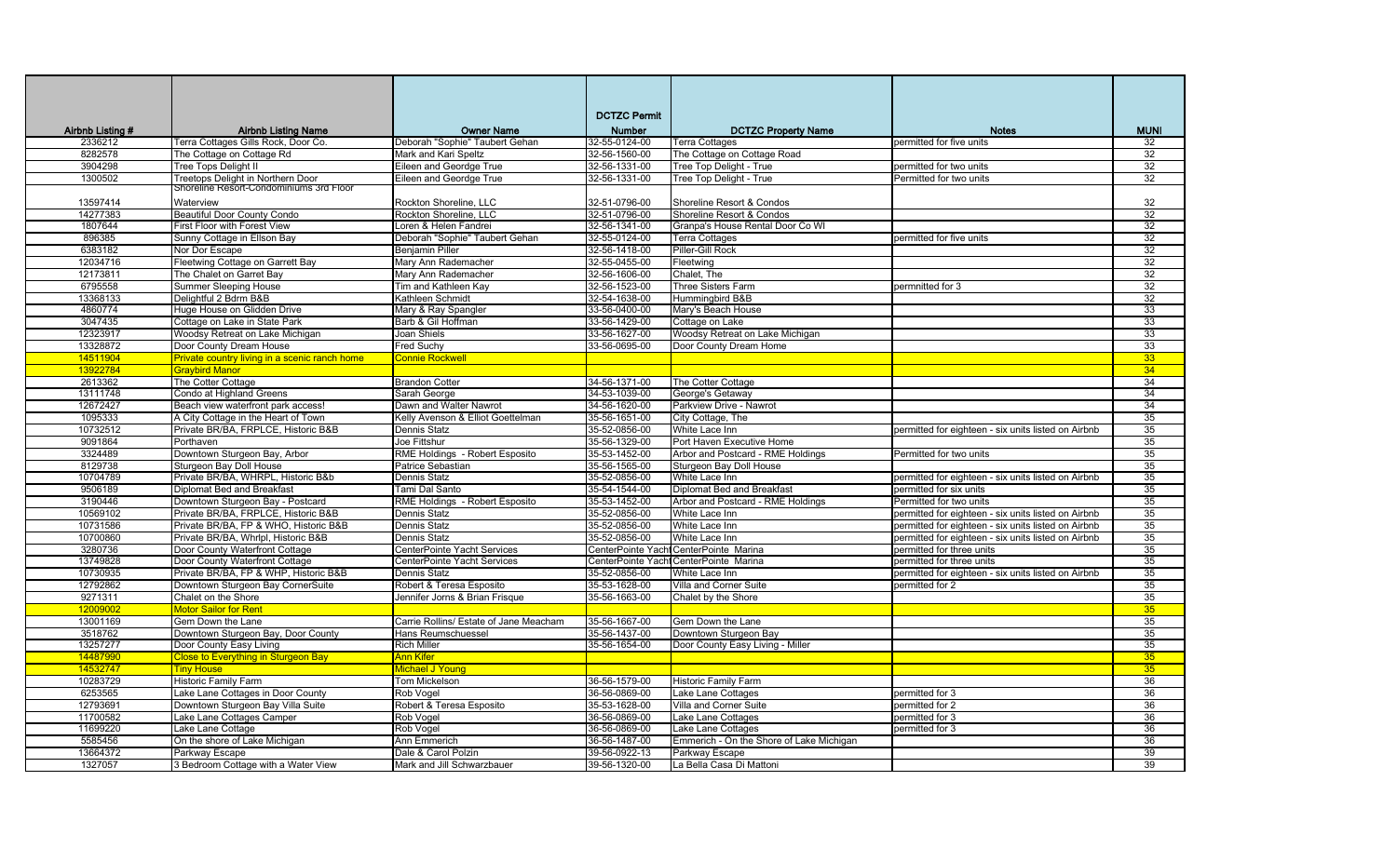|                  |                                               |                                        | <b>DCTZC Permit</b> |                                          |                                                     |             |
|------------------|-----------------------------------------------|----------------------------------------|---------------------|------------------------------------------|-----------------------------------------------------|-------------|
| Airbnb Listing # | <b>Airbnb Listing Name</b>                    | <b>Owner Name</b>                      | Number              | <b>DCTZC Property Name</b>               | <b>Notes</b>                                        | <b>MUNI</b> |
| 2336212          | Terra Cottages Gills Rock, Door Co.           | Deborah "Sophie" Taubert Gehan         | 32-55-0124-00       | <b>Terra Cottages</b>                    | permitted for five units                            | 32          |
| 8282578          | The Cottage on Cottage Rd                     | Mark and Kari Speltz                   | 32-56-1560-00       | The Cottage on Cottage Road              |                                                     | 32          |
| 3904298          | Tree Tops Delight II                          | Eileen and Geordge True                | 32-56-1331-00       | Tree Top Delight - True                  | permitted for two units                             | 32          |
| 1300502          | Treetops Delight in Northern Door             | Eileen and Geordge True                | 32-56-1331-00       | Tree Top Delight - True                  | Permitted for two units                             | 32          |
|                  | Shoreline Resort-Condominiums 3rd Floor       |                                        |                     |                                          |                                                     |             |
| 13597414         | Waterview                                     | Rockton Shoreline, LLC                 | 32-51-0796-00       | Shoreline Resort & Condos                |                                                     | 32          |
| 14277383         | <b>Beautiful Door County Condo</b>            | Rockton Shoreline, LLC                 | 32-51-0796-00       | Shoreline Resort & Condos                |                                                     | 32          |
| 1807644          | First Floor with Forest View                  | Loren & Helen Fandrei                  | 32-56-1341-00       | Granpa's House Rental Door Co WI         |                                                     | 32          |
| 896385           | Sunny Cottage in Ellson Bay                   | Deborah "Sophie" Taubert Gehan         | 32-55-0124-00       | <b>Terra Cottages</b>                    | permitted for five units                            | 32          |
| 6383182          | Nor Dor Escape                                | Benjamin Piller                        | 32-56-1418-00       | Piller-Gill Rock                         |                                                     | 32          |
| 12034716         | Fleetwing Cottage on Garrett Bay              | Mary Ann Rademacher                    | 32-55-0455-00       | Fleetwing                                |                                                     | 32          |
| 12173811         | The Chalet on Garret Bay                      | Mary Ann Rademacher                    | 32-56-1606-00       | Chalet, The                              |                                                     | 32          |
| 6795558          | <b>Summer Sleeping House</b>                  | Tim and Kathleen Kay                   | 32-56-1523-00       | Three Sisters Farm                       | permnitted for 3                                    | 32          |
| 13368133         | Delightful 2 Bdrm B&B                         | Kathleen Schmidt                       | 32-54-1638-00       | Hummingbird B&B                          |                                                     | 32          |
| 4860774          | Huge House on Glidden Drive                   | Mary & Ray Spangler                    | 33-56-0400-00       | Mary's Beach House                       |                                                     | 33          |
| 3047435          | Cottage on Lake in State Park                 | Barb & Gil Hoffman                     | 33-56-1429-00       | Cottage on Lake                          |                                                     | 33          |
| 12323917         | Woodsy Retreat on Lake Michigan               | Joan Shiels                            | 33-56-1627-00       | Woodsy Retreat on Lake Michigan          |                                                     | 33          |
| 13328872         | Door County Dream House                       | Fred Suchy                             | 33-56-0695-00       | Door County Dream Home                   |                                                     | 33          |
| 14511904         | Private country living in a scenic ranch home | <b>Connie Rockwell</b>                 |                     |                                          |                                                     | 33          |
| 13922784         | <b>Graybird Manor</b>                         |                                        |                     |                                          |                                                     | 34          |
| 2613362          | The Cotter Cottage                            | <b>Brandon Cotter</b>                  | 34-56-1371-00       | The Cotter Cottage                       |                                                     | 34          |
| 13111748         | Condo at Highland Greens                      | Sarah George                           | 34-53-1039-00       | George's Getaway                         |                                                     | 34          |
| 12672427         | Beach view waterfront park access!            | Dawn and Walter Nawrot                 | 34-56-1620-00       | Parkview Drive - Nawrot                  |                                                     | 34          |
| 1095333          | A City Cottage in the Heart of Town           | Kelly Avenson & Elliot Goettelman      | 35-56-1651-00       | City Cottage, The                        |                                                     | 35          |
| 10732512         | Private BR/BA, FRPLCE, Historic B&B           | Dennis Statz                           | 35-52-0856-00       | White Lace Inn                           | permitted for eighteen - six units listed on Airbnb | 35          |
| 9091864          | Porthaven                                     | Joe Fittshur                           | 35-56-1329-00       | Port Haven Executive Home                |                                                     | 35          |
| 3324489          | Downtown Sturgeon Bay, Arbor                  | RME Holdings - Robert Esposito         | 35-53-1452-00       | Arbor and Postcard - RME Holdings        | Permitted for two units                             | 35          |
| 8129738          | Sturgeon Bay Doll House                       | Patrice Sebastian                      | 35-56-1565-00       | Sturgeon Bay Doll House                  |                                                     | 35          |
| 10704789         | Private BR/BA, WHRPL, Historic B&b            | Dennis Statz                           | 35-52-0856-00       | White Lace Inn                           | permitted for eighteen - six units listed on Airbnb | 35          |
| 9506189          | Diplomat Bed and Breakfast                    | Tami Dal Santo                         | 35-54-1544-00       | Diplomat Bed and Breakfast               | permitted for six units                             | 35          |
| 3190446          | Downtown Sturgeon Bay - Postcard              | RME Holdings - Robert Esposito         | 35-53-1452-00       | Arbor and Postcard - RME Holdings        | Permitted for two units                             | 35          |
| 10569102         | Private BR/BA, FRPLCE, Historic B&B           | Dennis Statz                           | 35-52-0856-00       | White Lace Inn                           | permitted for eighteen - six units listed on Airbnb | 35          |
| 10731586         | Private BR/BA, FP & WHO, Historic B&B         | Dennis Statz                           | 35-52-0856-00       | White Lace Inn                           | permitted for eighteen - six units listed on Airbnb | 35          |
| 10700860         | Private BR/BA, Whrlpl, Historic B&B           | Dennis Statz                           | 35-52-0856-00       | White Lace Inn                           | permitted for eighteen - six units listed on Airbnb | 35          |
| 3280736          | Door County Waterfront Cottage                | CenterPointe Yacht Services            |                     | CenterPointe Yacht CenterPointe Marina   | permitted for three units                           | 35          |
| 13749828         | Door County Waterfront Cottage                | CenterPointe Yacht Services            |                     | CenterPointe Yacht CenterPointe Marina   | permitted for three units                           | 35          |
| 10730935         | Private BR/BA, FP & WHP, Historic B&B         | Dennis Statz                           | 35-52-0856-00       | White Lace Inn                           | permitted for eighteen - six units listed on Airbnb | 35          |
| 12792862         | Downtown Sturgeon Bay CornerSuite             | Robert & Teresa Esposito               | 35-53-1628-00       | Villa and Corner Suite                   | permitted for 2                                     | 35          |
| 9271311          | Chalet on the Shore                           | Jennifer Jorns & Brian Frisque         | 35-56-1663-00       | Chalet by the Shore                      |                                                     | 35          |
| 1200900          | Motor Sailor for Rent                         |                                        |                     |                                          |                                                     | 35          |
| 13001169         | Gem Down the Lane                             | Carrie Rollins/ Estate of Jane Meacham | 35-56-1667-00       | Gem Down the Lane                        |                                                     | 35          |
| 3518762          | Downtown Sturgeon Bay, Door County            | Hans Reumschuessel                     | 35-56-1437-00       | Downtown Sturgeon Bay                    |                                                     | 35          |
| 13257277         | Door County Easy Living                       | <b>Rich Miller</b>                     | 35-56-1654-00       | Door County Easy Living - Miller         |                                                     | 35          |
| 14487990         | <b>Close to Everything in Sturgeon Bay</b>    | Ann Kifer                              |                     |                                          |                                                     | 35          |
| 14532747         | <b>Tiny House</b>                             | Michael J Young                        |                     |                                          |                                                     | 35          |
| 10283729         | <b>Historic Family Farm</b>                   | Tom Mickelson                          | 36-56-1579-00       | <b>Historic Family Farm</b>              |                                                     | 36          |
| 6253565          | Lake Lane Cottages in Door County             | Rob Vogel                              | 36-56-0869-00       | Lake Lane Cottages                       | permitted for 3                                     | 36          |
| 12793691         | Downtown Sturgeon Bay Villa Suite             | Robert & Teresa Esposito               | 35-53-1628-00       | Villa and Corner Suite                   | permitted for 2                                     | 36          |
| 11700582         | Lake Lane Cottages Camper                     | Rob Vogel                              | 36-56-0869-00       | Lake Lane Cottages                       | permitted for 3                                     | 36          |
| 11699220         | Lake Lane Cottage                             | Rob Vogel                              | 36-56-0869-00       | Lake Lane Cottages                       | permitted for 3                                     | 36          |
| 5585456          | On the shore of Lake Michigan                 | Ann Emmerich                           | 36-56-1487-00       | Emmerich - On the Shore of Lake Michigan |                                                     | 36          |
| 13664372         | Parkway Escape                                | Dale & Carol Polzin                    | 39-56-0922-13       | Parkway Escape                           |                                                     | 39          |
| 1327057          | 3 Bedroom Cottage with a Water View           | Mark and Jill Schwarzbauer             | 39-56-1320-00       | La Bella Casa Di Mattoni                 |                                                     | 39          |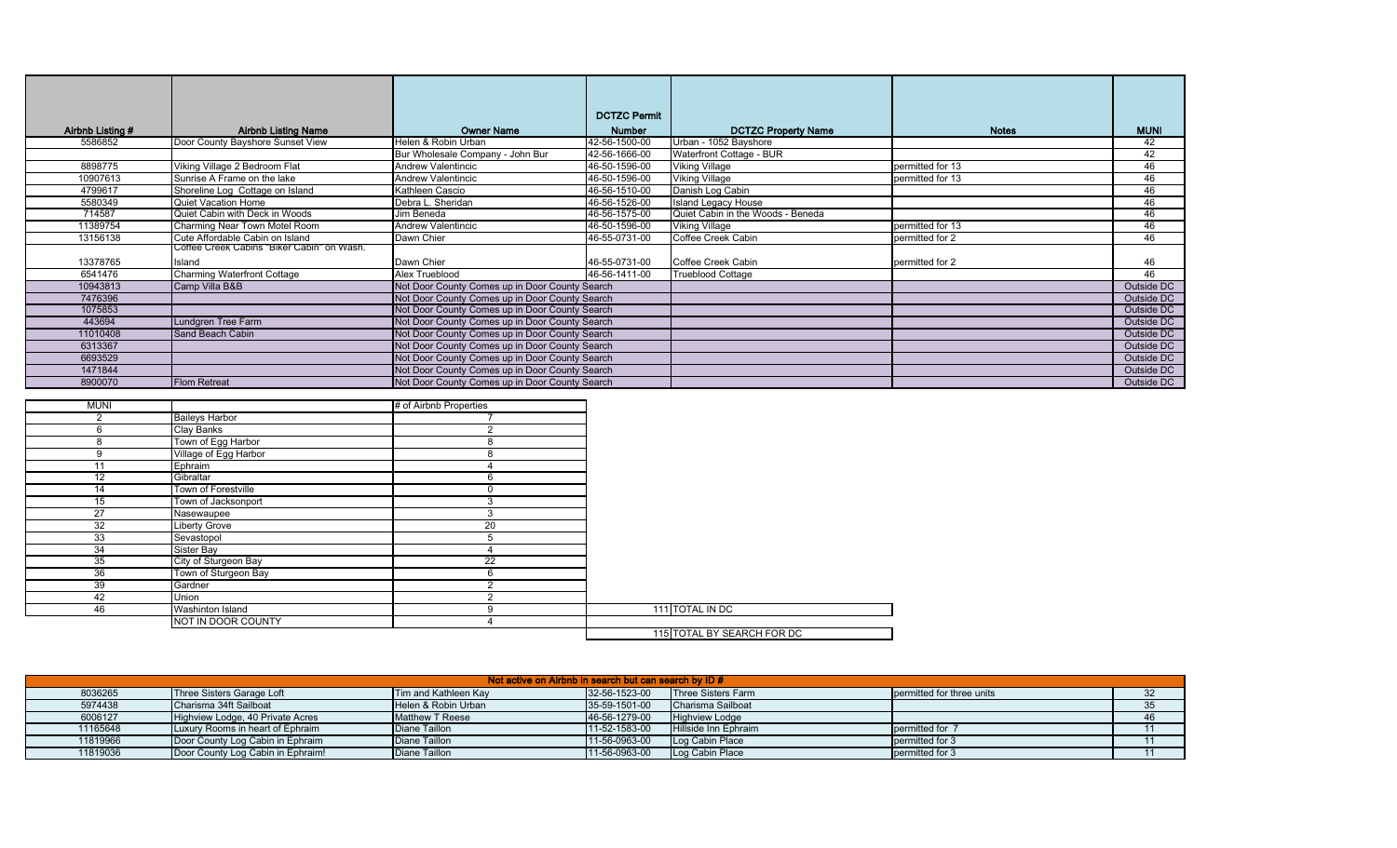|                  |                                                                               |                                                | <b>DCTZC Permit</b> |                                   |                  |             |
|------------------|-------------------------------------------------------------------------------|------------------------------------------------|---------------------|-----------------------------------|------------------|-------------|
| Airbnb Listing # | <b>Airbnb Listing Name</b>                                                    | <b>Owner Name</b>                              | <b>Number</b>       | <b>DCTZC Property Name</b>        | <b>Notes</b>     | <b>MUNI</b> |
| 5586852          | Door County Bayshore Sunset View                                              | Helen & Robin Urban                            | 42-56-1500-00       | Urban - 1052 Bayshore             |                  | 42          |
|                  |                                                                               | Bur Wholesale Company - John Bur               | 42-56-1666-00       | Waterfront Cottage - BUR          |                  | 42          |
| 8898775          | Viking Village 2 Bedroom Flat                                                 | <b>Andrew Valentincic</b>                      | 46-50-1596-00       | <b>Viking Village</b>             | permitted for 13 | 46          |
| 10907613         | Sunrise A Frame on the lake                                                   | <b>Andrew Valentincic</b>                      | 46-50-1596-00       | <b>Viking Village</b>             | permitted for 13 | 46          |
| 4799617          | Shoreline Log Cottage on Island                                               | Kathleen Cascio                                | 46-56-1510-00       | Danish Log Cabin                  |                  | 46          |
| 5580349          | <b>Quiet Vacation Home</b>                                                    | Debra L. Sheridan                              | 46-56-1526-00       | <b>Island Legacy House</b>        |                  | 46          |
| 714587           | Quiet Cabin with Deck in Woods                                                | Jim Beneda                                     | 46-56-1575-00       | Quiet Cabin in the Woods - Beneda |                  | 46          |
|                  |                                                                               |                                                |                     |                                   |                  |             |
| 11389754         | Charming Near Town Motel Room                                                 | <b>Andrew Valentincic</b>                      | 46-50-1596-00       | <b>Viking Village</b>             | permitted for 13 | 46          |
| 13156138         | Cute Affordable Cabin on Island<br>Coffee Creek Cabins "Biker Cabin" on Wash. | Dawn Chier                                     | 46-55-0731-00       | Coffee Creek Cabin                | permitted for 2  | 46          |
|                  |                                                                               |                                                |                     |                                   |                  |             |
| 13378765         | Island                                                                        | Dawn Chier                                     | 46-55-0731-00       | Coffee Creek Cabin                | permitted for 2  | 46          |
| 6541476          | <b>Charming Waterfront Cottage</b>                                            | Alex Trueblood                                 | 46-56-1411-00       | <b>Trueblood Cottage</b>          |                  | 46          |
| 10943813         | Camp Villa B&B                                                                | Not Door County Comes up in Door County Search |                     |                                   |                  | Outside DC  |
| 7476396          |                                                                               | Not Door County Comes up in Door County Search |                     |                                   |                  | Outside DC  |
| 1075853          |                                                                               | Not Door County Comes up in Door County Search |                     |                                   |                  | Outside DC  |
| 443694           | Lundgren Tree Farm                                                            | Not Door County Comes up in Door County Search |                     |                                   |                  | Outside DC  |
| 11010408         | <b>Sand Beach Cabin</b>                                                       | Not Door County Comes up in Door County Search |                     |                                   |                  | Outside DC  |
| 6313367          |                                                                               | Not Door County Comes up in Door County Search |                     |                                   |                  | Outside DC  |
| 6693529          |                                                                               | Not Door County Comes up in Door County Search |                     |                                   |                  | Outside DC  |
| 1471844          |                                                                               | Not Door County Comes up in Door County Search |                     |                                   |                  | Outside DC  |
| 8900070          | <b>Flom Retreat</b>                                                           | Not Door County Comes up in Door County Search |                     |                                   |                  | Outside DC  |

| <b>MUNI</b> |                       | # of Airbnb Properties |                            |
|-------------|-----------------------|------------------------|----------------------------|
| 2           | <b>Baileys Harbor</b> |                        |                            |
| 6           | Clay Banks            |                        |                            |
| 8           | Town of Egg Harbor    | $\sim$                 |                            |
| 9           | Village of Egg Harbor | $\Omega$               |                            |
| 11          | Ephraim               |                        |                            |
| 12          | Gibraltar             |                        |                            |
| 14          | Town of Forestville   |                        |                            |
| 15          | Town of Jacksonport   | 3                      |                            |
| 27          | Nasewaupee            | $\sqrt{2}$             |                            |
| 32          | <b>Liberty Grove</b>  | $\overline{20}$        |                            |
| 33          | Sevastopol            |                        |                            |
| 34          | Sister Bay            |                        |                            |
| 35          | City of Sturgeon Bay  | 22                     |                            |
| 36          | Town of Sturgeon Bay  | $\sim$<br>'n           |                            |
| 39          | Gardner               | $\sim$                 |                            |
| 42          | Union                 |                        |                            |
| 46          | Washinton Island      | ∩                      | 111 TOTAL IN DC            |
|             | NOT IN DOOR COUNTY    |                        |                            |
|             |                       |                        | 115 TOTAL BY SEARCH FOR DC |

| Not active on Airbnb in search but can search by ID # |                                   |                        |               |                       |                           |  |  |
|-------------------------------------------------------|-----------------------------------|------------------------|---------------|-----------------------|---------------------------|--|--|
| 8036265                                               | Three Sisters Garage Loft         | Tim and Kathleen Kay   | 32-56-1523-00 | Three Sisters Farm    | permitted for three units |  |  |
| 5974438                                               | Charisma 34ft Sailboat            | Helen & Robin Urban    | 35-59-1501-00 | Charisma Sailboat     |                           |  |  |
| 6006127                                               | Highview Lodge, 40 Private Acres  | <b>Matthew T Reese</b> | 46-56-1279-00 | <b>Highview Lodge</b> |                           |  |  |
| 11165648                                              | Luxury Rooms in heart of Ephraim  | Diane Taillon          | 11-52-1583-00 | Hillside Inn Ephraim  | permitted for             |  |  |
| 11819966                                              | Door County Log Cabin in Ephraim  | Diane Taillon          | 11-56-0963-00 | Log Cabin Place       | permitted for 3           |  |  |
| 11819036                                              | Door County Log Cabin in Ephraim! | Diane Taillon          | 11-56-0963-00 | Log Cabin Place       | permitted for 3           |  |  |